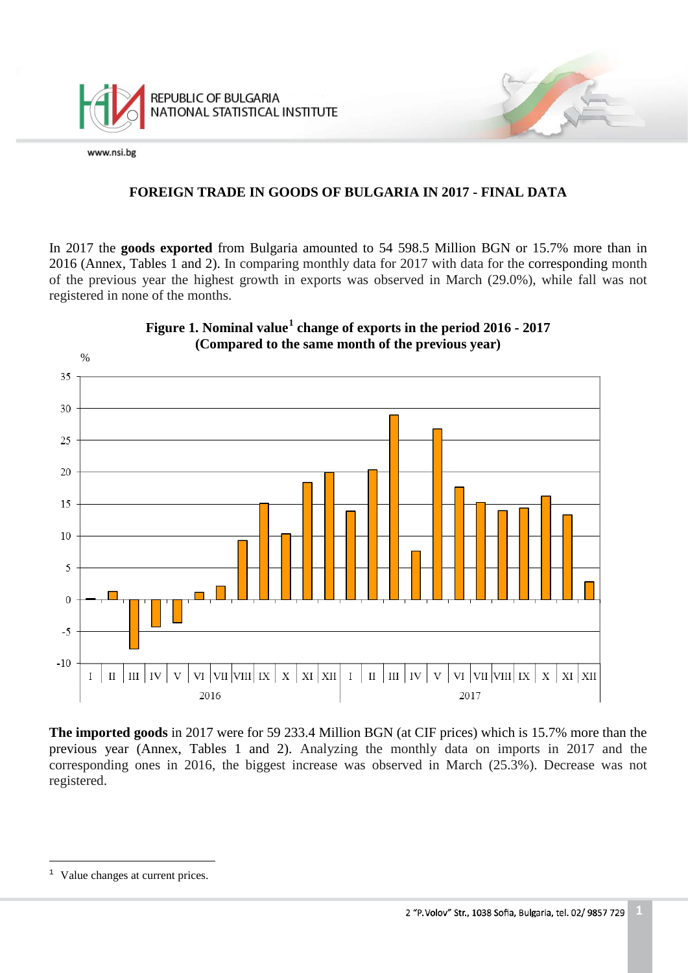

### **FOREIGN TRADE IN GOODS OF BULGARIA IN 2017 - FINAL DATA**

In 2017 the **goods exported** from Bulgaria amounted to 54 598.5 Million BGN or 15.7% more than in 2016 (Annex, Tables 1 and 2). In comparing monthly data for 2017 with data for the corresponding month of the previous year the highest growth in exports was observed in March (29.0%), while fall was not registered in none of the months.



**Figure 1. Nominal value[1](#page-0-0) change of exports in the period 2016 - 2017**

**The imported goods** in 2017 were for 59 233.4 Million BGN (at CIF prices) which is 15.7% more than the previous year (Annex, Tables 1 and 2). Analyzing the monthly data on imports in 2017 and the corresponding ones in 2016, the biggest increase was observed in March (25.3%). Decrease was not registered.

<span id="page-0-0"></span><sup>&</sup>lt;sup>1</sup> Value changes at current prices. Ĩ.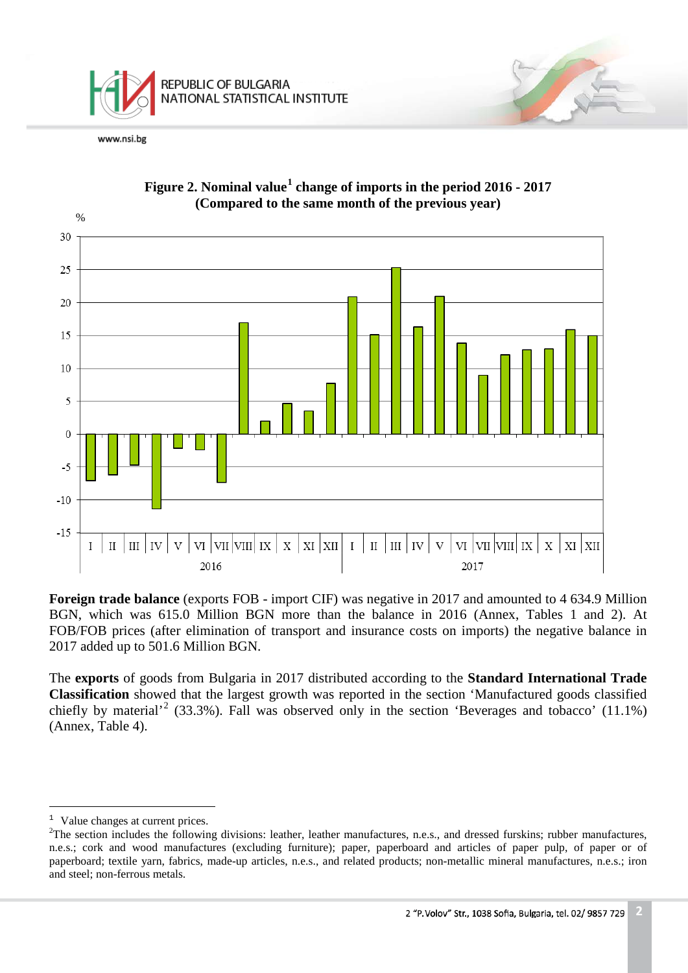



**Figure 2. Nominal value[1](#page-1-0) change of imports in the period 2016 - 2017 (Compared to the same month of the previous year)**

**Foreign trade balance** (exports FOB - import CIF) was negative in 2017 and amounted to 4 634.9 Million BGN, which was 615.0 Million BGN more than the balance in 2016 (Annex, Tables 1 and 2). At FOB/FOB prices (after elimination of transport and insurance costs on imports) the negative balance in 2017 added up to 501.6 Million BGN.

The **exports** of goods from Bulgaria in 2017 distributed according to the **Standard International Trade Classification** showed that the largest growth was reported in the section 'Manufactured goods classified chiefly by material<sup>[2](#page-1-1)</sup> (33.3%). Fall was observed only in the section 'Beverages and tobacco' (11.1%) (Annex, Table 4).

 $<sup>1</sup>$  Value changes at current prices.</sup> Ĩ.

<span id="page-1-1"></span><span id="page-1-0"></span> $2^2$ The section includes the following divisions: leather, leather manufactures, n.e.s., and dressed furskins; rubber manufactures, n.e.s.; cork and wood manufactures (excluding furniture); paper, paperboard and articles of paper pulp, of paper or of paperboard; textile yarn, fabrics, made-up articles, n.e.s., and related products; non-metallic mineral manufactures, n.e.s.; iron and steel; non-ferrous metals.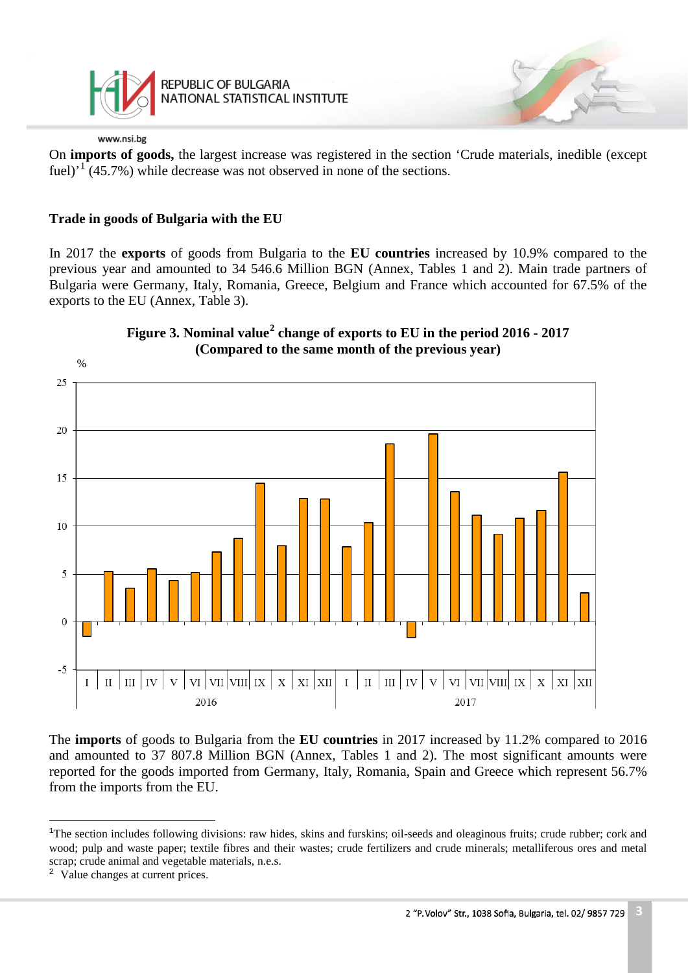

REPUBLIC OF BULGARIA NATIONAL STATISTICAL INSTITUTE

#### www.nsi.bg

On **imports of goods,** the largest increase was registered in the section 'Crude materials, inedible (except fuel)<sup> $1$ </sup> (45.7%) while decrease was not observed in none of the sections.

### **Trade in goods of Bulgaria with the EU**

In 2017 the **exports** of goods from Bulgaria to the **EU countries** increased by 10.9% compared to the previous year and amounted to 34 546.6 Million BGN (Annex, Tables 1 and 2). Main trade partners of Bulgaria were Germany, Italy, Romania, Greece, Belgium and France which accounted for 67.5% of the exports to the EU (Annex, Table 3).



**Figure 3. Nominal value[2](#page-2-1) change of exports to EU in the period 2016 - 2017**

The **imports** of goods to Bulgaria from the **EU countries** in 2017 increased by 11.2% compared to 2016 and amounted to 37 807.8 Million BGN (Annex, Tables 1 and 2). The most significant amounts were reported for the goods imported from Germany, Italy, Romania, Spain and Greece which represent 56.7% from the imports from the EU.

<span id="page-2-0"></span><sup>&</sup>lt;sup>1</sup>The section includes following divisions: raw hides, skins and furskins; oil-seeds and oleaginous fruits; crude rubber; cork and wood; pulp and waste paper; textile fibres and their wastes; crude fertilizers and crude minerals; metalliferous ores and metal scrap; crude animal and vegetable materials, n.e.s. Ĩ.

<span id="page-2-1"></span><sup>2</sup> Value changes at current prices.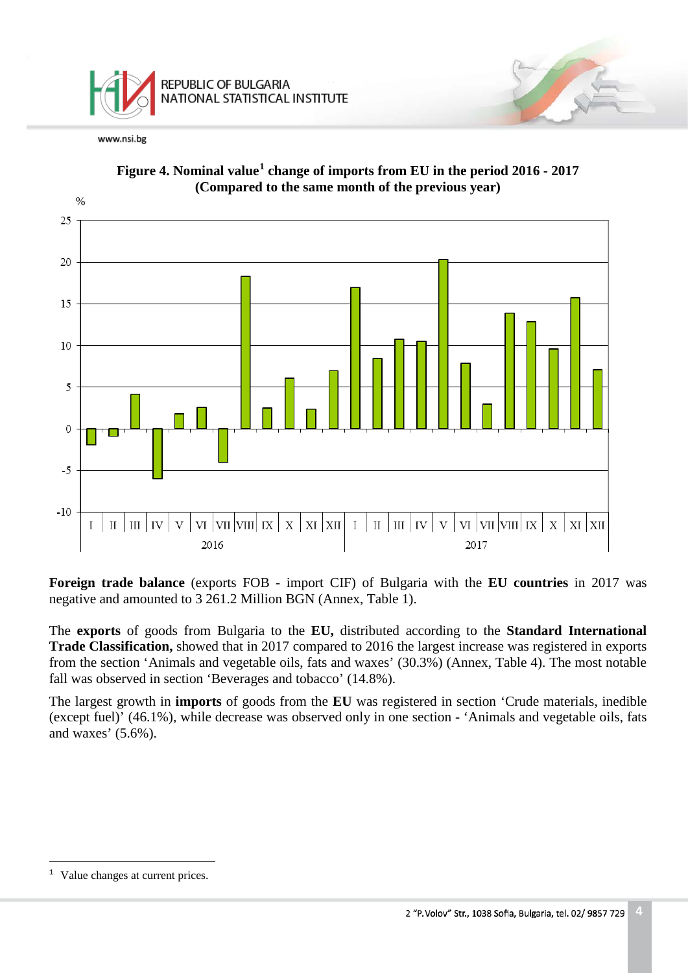



**Figure 4. Nominal value[1](#page-3-0) change of imports from EU in the period 2016 - 2017 (Compared to the same month of the previous year)**

**Foreign trade balance** (exports FOB - import CIF) of Bulgaria with the **EU countries** in 2017 was negative and amounted to 3 261.2 Million BGN (Annex, Table 1).

The **exports** of goods from Bulgaria to the **EU,** distributed according to the **Standard International Trade Classification,** showed that in 2017 compared to 2016 the largest increase was registered in exports from the section 'Animals and vegetable oils, fats and waxes' (30.3%) (Annex, Table 4). The most notable fall was observed in section 'Beverages and tobacco' (14.8%).

The largest growth in **imports** of goods from the **EU** was registered in section 'Crude materials, inedible (except fuel)' (46.1%), while decrease was observed only in one section - 'Animals and vegetable oils, fats and waxes' (5.6%).

<span id="page-3-0"></span><sup>&</sup>lt;sup>1</sup> Value changes at current prices. Ĩ.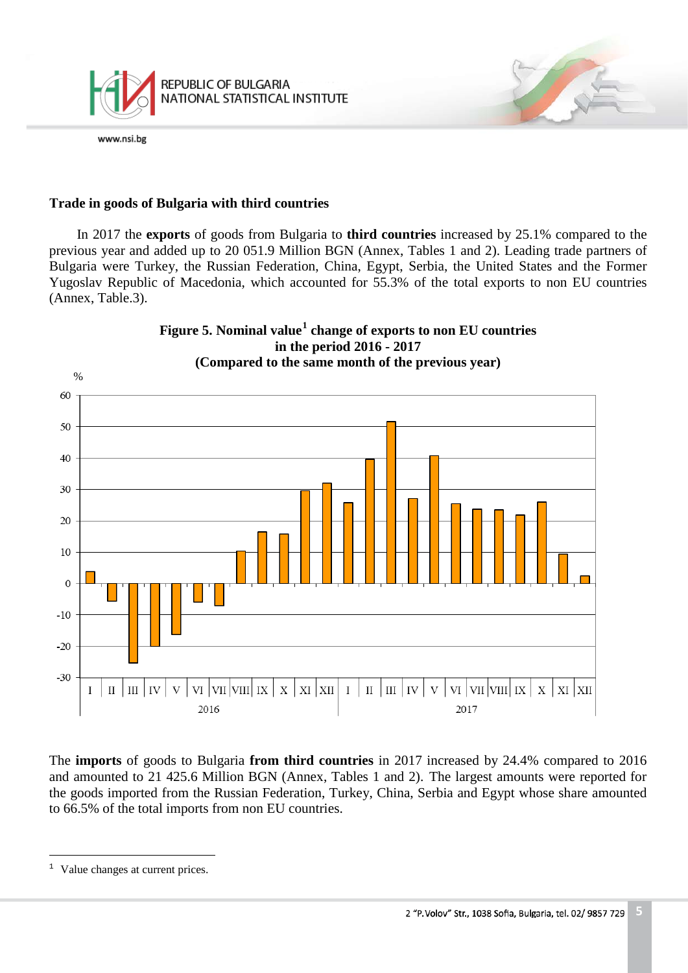

#### **Тrade in goods of Bulgaria with third countries**

In 2017 the **exports** of goods from Bulgaria to **third countries** increased by 25.1% compared to the previous year and added up to 20 051.9 Million BGN (Annex, Tables 1 and 2). Leading trade partners of Bulgaria were Turkey, the Russian Federation, China, Egypt, Serbia, the United States and the Former Yugoslav Republic of Macedonia, which accounted for 55.3% of the total exports to non EU countries (Annex, Table.3).



The **imports** of goods to Bulgaria **from third countries** in 2017 increased by 24.4% compared to 2016 and amounted to 21 425.6 Million BGN (Annex, Tables 1 and 2). The largest amounts were reported for the goods imported from the Russian Federation, Turkey, China, Serbia and Egypt whose share amounted to 66.5% of the total imports from non EU countries.

<span id="page-4-0"></span>Value changes at current prices.  $\,1\,$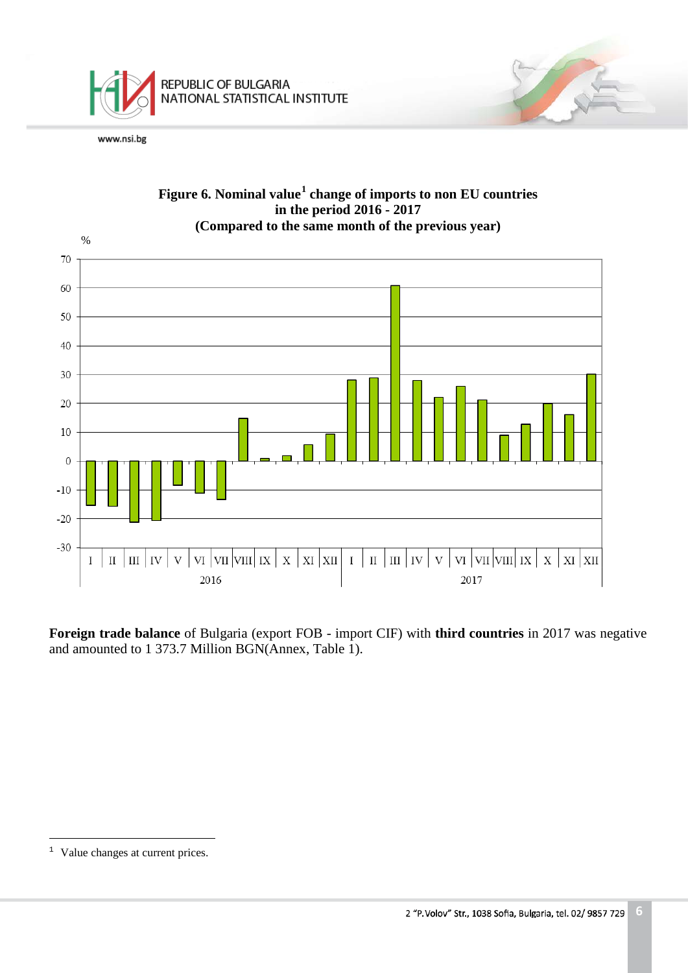



**Foreign trade balance** of Bulgaria (export FOB - import CIF) with **third countries** in 2017 was negative and amounted to 1 373.7 Million BGN(Annex, Table 1).

<span id="page-5-0"></span> $<sup>1</sup>$  Value changes at current prices.</sup> Ĩ.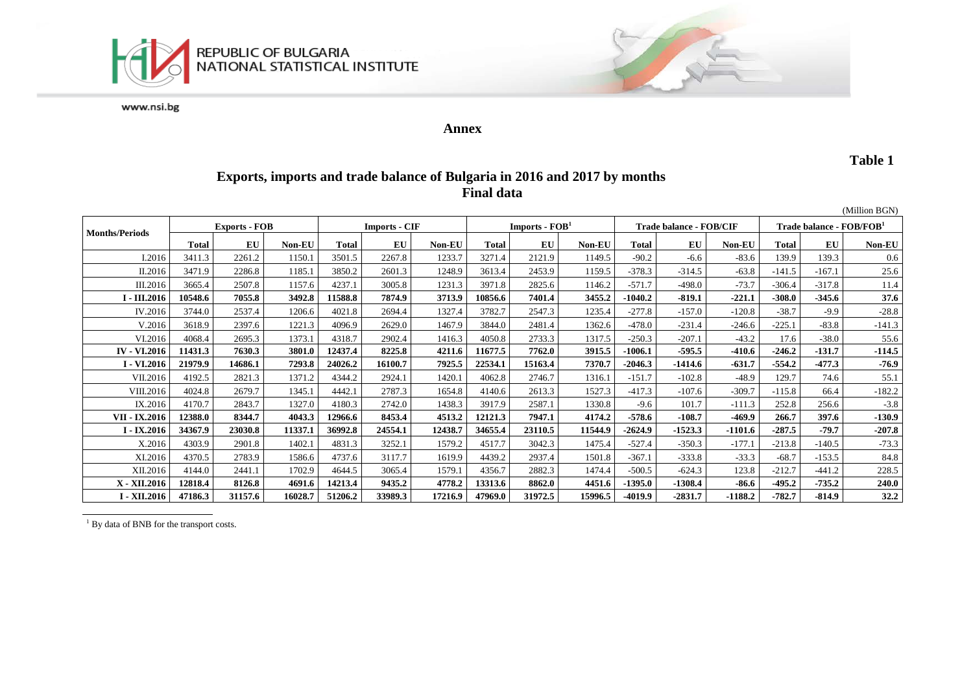



#### **Annex**

#### **Table 1**

## **Exports, imports and trade balance of Bulgaria in 2016 and 2017 by months Final data**

|                       |              |                      |               |                      |         |               |                  |         |               |                                |           |           |                                      |          | (Million BGN) |
|-----------------------|--------------|----------------------|---------------|----------------------|---------|---------------|------------------|---------|---------------|--------------------------------|-----------|-----------|--------------------------------------|----------|---------------|
| <b>Months/Periods</b> |              | <b>Exports - FOB</b> |               | <b>Imports - CIF</b> |         |               | Imports - $FOB1$ |         |               | <b>Trade balance - FOB/CIF</b> |           |           | Trade balance - FOB/FOB <sup>1</sup> |          |               |
|                       | <b>Total</b> | EU                   | <b>Non-EU</b> | <b>Total</b>         | EU      | <b>Non-EU</b> | <b>Total</b>     | EU      | <b>Non-EU</b> | <b>Total</b>                   | EU        | Non-EU    | <b>Total</b>                         | EU       | <b>Non-EU</b> |
| I.2016                | 3411.3       | 2261.2               | 1150.1        | 3501.5               | 2267.8  | 1233.7        | 3271.4           | 2121.9  | 1149.5        | $-90.2$                        | $-6.6$    | $-83.6$   | 139.9                                | 139.3    | 0.6           |
| II.2016               | 3471.9       | 2286.8               | 1185.1        | 3850.2               | 2601.3  | 1248.9        | 3613.4           | 2453.9  | 1159.5        | $-378.3$                       | $-314.5$  | $-63.8$   | $-141.5$                             | $-167.1$ | 25.6          |
| III.2016              | 3665.4       | 2507.8               | 1157.6        | 4237.1               | 3005.8  | 1231.3        | 3971.8           | 2825.6  | 1146.2        | $-571.7$                       | $-498.0$  | $-73.7$   | $-306.4$                             | $-317.8$ | 11.4          |
| $I - III.2016$        | 10548.6      | 7055.8               | 3492.8        | 11588.8              | 7874.9  | 3713.9        | 10856.6          | 7401.4  | 3455.2        | -1040.2                        | $-819.1$  | $-221.1$  | $-308.0$                             | $-345.6$ | 37.6          |
| IV.2016               | 3744.0       | 2537.4               | 1206.6        | 4021.8               | 2694.4  | 1327.4        | 3782.7           | 2547.3  | 1235.4        | $-277.8$                       | $-157.0$  | $-120.8$  | $-38.7$                              | $-9.9$   | $-28.8$       |
| V.2016                | 3618.9       | 2397.6               | 1221.3        | 4096.9               | 2629.0  | 1467.9        | 3844.0           | 2481.4  | 1362.6        | $-478.0$                       | $-231.4$  | $-246.6$  | $-225.1$                             | $-83.8$  | $-141.3$      |
| VI.2016               | 4068.4       | 2695.3               | 1373.1        | 4318.7               | 2902.4  | 1416.3        | 4050.8           | 2733.3  | 1317.5        | $-250.3$                       | $-207.1$  | $-43.2$   | 17.6                                 | $-38.0$  | 55.6          |
| <b>IV - VI.2016</b>   | 11431.3      | 7630.3               | 3801.0        | 12437.4              | 8225.8  | 4211.6        | 11677.5          | 7762.0  | 3915.5        | 1006.1                         | $-595.5$  | -410.6    | $-246.2$                             | $-131.7$ | $-114.5$      |
| I - VI.2016           | 21979.9      | 14686.1              | 7293.8        | 24026.2              | 16100.7 | 7925.5        | 22534.1          | 15163.4 | 7370.7        | $-2046.3$                      | -1414.6   | $-631.7$  | $-554.2$                             | $-477.3$ | $-76.9$       |
| VII.2016              | 4192.5       | 2821.3               | 1371.2        | 4344.2               | 2924.1  | 1420.1        | 4062.8           | 2746.7  | 1316.1        | $-151.7$                       | $-102.8$  | $-48.9$   | 129.7                                | 74.6     | 55.1          |
| VIII.2016             | 4024.8       | 2679.7               | 1345.1        | 4442.1               | 2787.3  | 1654.8        | 4140.6           | 2613.3  | 1527.3        | $-417.3$                       | $-107.6$  | $-309.7$  | $-115.8$                             | 66.4     | $-182.2$      |
| IX.2016               | 4170.7       | 2843.7               | 1327.0        | 4180.3               | 2742.0  | 1438.3        | 3917.9           | 2587.1  | 1330.8        | $-9.6$                         | 101.7     | $-111.3$  | 252.8                                | 256.6    | $-3.8$        |
| VII - IX.2016         | 12388.0      | 8344.7               | 4043.3        | 12966.6              | 8453.4  | 4513.2        | 12121.3          | 7947.1  | 4174.2        | $-578.6$                       | $-108.7$  | -469.9    | 266.7                                | 397.6    | $-130.9$      |
| $I - IX.2016$         | 34367.9      | 23030.8              | 11337.1       | 36992.8              | 24554.1 | 12438.7       | 34655.4          | 23110.5 | 11544.9       | $-2624.9$                      | $-1523.3$ | $-1101.6$ | $-287.5$                             | $-79.7$  | $-207.8$      |
| X.2016                | 4303.9       | 2901.8               | 1402.1        | 4831.3               | 3252.1  | 1579.2        | 4517.7           | 3042.3  | 1475.4        | $-527.4$                       | $-350.3$  | $-177.1$  | $-213.8$                             | $-140.5$ | $-73.3$       |
| XI.2016               | 4370.5       | 2783.9               | 1586.6        | 4737.6               | 3117.7  | 1619.9        | 4439.2           | 2937.4  | 1501.8        | $-367.1$                       | $-333.8$  | $-33.3$   | $-68.7$                              | $-153.5$ | 84.8          |
| XII.2016              | 4144.0       | 2441.1               | 1702.9        | 4644.5               | 3065.4  | 1579.1        | 4356.7           | 2882.3  | 1474.4        | $-500.5$                       | $-624.3$  | 123.8     | $-212.7$                             | $-441.2$ | 228.5         |
| X - XII.2016          | 12818.4      | 8126.8               | 4691.6        | 14213.4              | 9435.2  | 4778.2        | 13313.6          | 8862.0  | 4451.6        | $-1395.0$                      | $-1308.4$ | $-86.6$   | $-495.2$                             | $-735.2$ | 240.0         |
| I - XII.2016          | 47186.3      | 31157.6              | 16028.7       | 51206.2              | 33989.3 | 17216.9       | 47969.0          | 31972.5 | 15996.5       | -4019.9                        | $-2831.7$ | $-1188.2$ | $-782.7$                             | $-814.9$ | 32.2          |

<sup>1</sup> By data of BNB for the transport costs.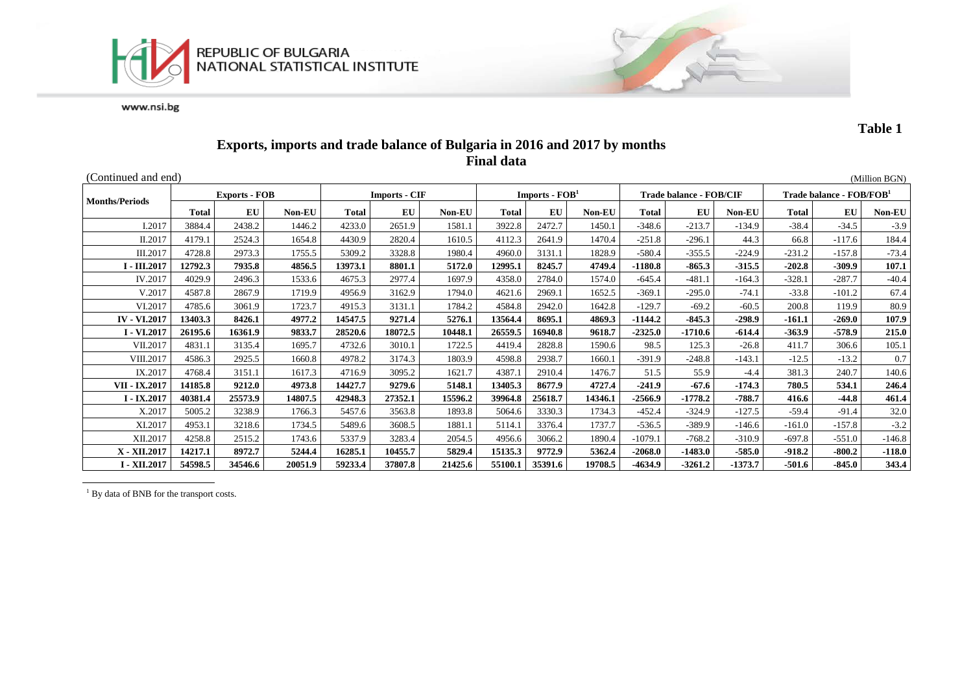



**Table 1**

## **Exports, imports and trade balance of Bulgaria in 2016 and 2017 by months Final data**

| (Continued and end)   |              |                      |         |         |                      |         |              |                  |         |              |                                |          |              |                                      | (Million BGN) |  |
|-----------------------|--------------|----------------------|---------|---------|----------------------|---------|--------------|------------------|---------|--------------|--------------------------------|----------|--------------|--------------------------------------|---------------|--|
| <b>Months/Periods</b> |              | <b>Exports - FOB</b> |         |         | <b>Imports - CIF</b> |         |              | Imports - $FOB1$ |         |              | <b>Trade balance - FOB/CIF</b> |          |              | Trade balance - FOB/FOB <sup>1</sup> |               |  |
|                       | <b>Total</b> | EU                   | Non-EU  | Total   | EU                   | Non-EU  | <b>Total</b> | EU               | Non-EU  | <b>Total</b> | EU                             | Non-EU   | <b>Total</b> | EU                                   | Non-EU        |  |
| I.2017                | 3884.4       | 2438.2               | 1446.2  | 4233.0  | 2651.9               | 1581.1  | 3922.8       | 2472.7           | 1450.1  | $-348.6$     | $-213.7$                       | $-134.9$ | $-38.4$      | $-34.5$                              | $-3.9$        |  |
| II.2017               | 4179.1       | 2524.3               | 1654.8  | 4430.9  | 2820.4               | 1610.5  | 4112.3       | 2641.9           | 1470.4  | $-251.8$     | $-296.1$                       | 44.3     | 66.8         | $-117.6$                             | 184.4         |  |
| III.2017              | 4728.8       | 2973.3               | 1755.5  | 5309.2  | 3328.8               | 1980.4  | 4960.0       | 3131.1           | 1828.9  | $-580.4$     | $-355.5$                       | $-224.9$ | $-231.2$     | $-157.8$                             | $-73.4$       |  |
| I - III.2017          | 12792.3      | 7935.8               | 4856.5  | 13973.1 | 8801.1               | 5172.0  | 12995.1      | 8245.7           | 4749.4  | $-1180.8$    | $-865.3$                       | $-315.5$ | $-202.8$     | $-309.9$                             | 107.1         |  |
| IV.2017               | 4029.9       | 2496.3               | 1533.6  | 4675.3  | 2977.4               | 1697.9  | 4358.0       | 2784.0           | 1574.0  | $-645.4$     | $-481.1$                       | $-164.3$ | $-328.1$     | $-287.7$                             | $-40.4$       |  |
| V.2017                | 4587.8       | 2867.9               | 1719.9  | 4956.9  | 3162.9               | 1794.0  | 4621.6       | 2969.1           | 1652.5  | $-369.1$     | $-295.0$                       | $-74.1$  | $-33.8$      | $-101.2$                             | 67.4          |  |
| VI.2017               | 4785.6       | 3061.9               | 1723.7  | 4915.3  | 3131.1               | 1784.2  | 4584.8       | 2942.0           | 1642.8  | $-129.7$     | $-69.2$                        | $-60.5$  | 200.8        | 119.9                                | 80.9          |  |
| <b>IV - VI.2017</b>   | 13403.3      | 8426.1               | 4977.2  | 14547.5 | 9271.4               | 5276.1  | 13564.4      | 8695.1           | 4869.3  | $-1144.2$    | $-845.3$                       | $-298.9$ | $-161.1$     | $-269.0$                             | 107.9         |  |
| I - VI.2017           | 26195.6      | 16361.9              | 9833.7  | 28520.6 | 18072.5              | 10448.1 | 26559.5      | 16940.8          | 9618.7  | $-2325.0$    | $-1710.6$                      | $-614.4$ | $-363.9$     | $-578.9$                             | 215.0         |  |
| VII.2017              | 4831.1       | 3135.4               | 1695.7  | 4732.6  | 3010.1               | 1722.5  | 4419.4       | 2828.8           | 1590.6  | 98.5         | 125.3                          | $-26.8$  | 411.7        | 306.6                                | 105.1         |  |
| VIII.2017             | 4586.3       | 2925.5               | 1660.8  | 4978.2  | 3174.3               | 1803.9  | 4598.8       | 2938.7           | 1660.1  | $-391.9$     | $-248.8$                       | $-143.1$ | $-12.5$      | $-13.2$                              | 0.7           |  |
| IX.2017               | 4768.4       | 3151.1               | 1617.3  | 4716.9  | 3095.2               | 1621.7  | 4387.1       | 2910.4           | 1476.7  | 51.5         | 55.9                           | -4.4     | 381.3        | 240.7                                | 140.6         |  |
| VII - IX.2017         | 14185.8      | 9212.0               | 4973.8  | 14427.7 | 9279.6               | 5148.1  | 13405.3      | 8677.9           | 4727.4  | $-241.9$     | $-67.6$                        | $-174.3$ | 780.5        | 534.1                                | 246.4         |  |
| $I - IX.2017$         | 40381.4      | 25573.9              | 14807.5 | 42948.3 | 27352.1              | 15596.2 | 39964.8      | 25618.7          | 14346.1 | $-2566.9$    | $-1778.2$                      | $-788.7$ | 416.6        | $-44.8$                              | 461.4         |  |
| X.2017                | 5005.2       | 3238.9               | 1766.3  | 5457.6  | 3563.8               | 1893.8  | 5064.6       | 3330.3           | 1734.3  | $-452.4$     | $-324.9$                       | $-127.5$ | $-59.4$      | $-91.4$                              | 32.0          |  |
| XI.2017               | 4953.1       | 3218.6               | 1734.5  | 5489.6  | 3608.5               | 1881.1  | 5114.1       | 3376.4           | 1737.7  | $-536.5$     | $-389.9$                       | $-146.6$ | $-161.0$     | $-157.8$                             | $-3.2$        |  |
| XII.2017              | 4258.8       | 2515.2               | 1743.6  | 5337.9  | 3283.4               | 2054.5  | 4956.6       | 3066.2           | 1890.4  | $-1079.1$    | $-768.2$                       | $-310.9$ | $-697.8$     | $-551.0$                             | $-146.8$      |  |
| X - XII.2017          | 14217.1      | 8972.7               | 5244.4  | 16285.1 | 10455.7              | 5829.4  | 15135.3      | 9772.9           | 5362.4  | $-2068.0$    | $-1483.0$                      | $-585.0$ | $-918.2$     | $-800.2$                             | $-118.0$      |  |
| I - XII.2017          | 54598.5      | 34546.6              | 20051.9 | 59233.4 | 37807.8              | 21425.6 | 55100.1      | 35391.6          | 19708.5 | -4634.9      | $-3261.2$                      | -1373.7  | $-501.6$     | $-845.0$                             | 343.4         |  |

<sup>1</sup> By data of BNB for the transport costs.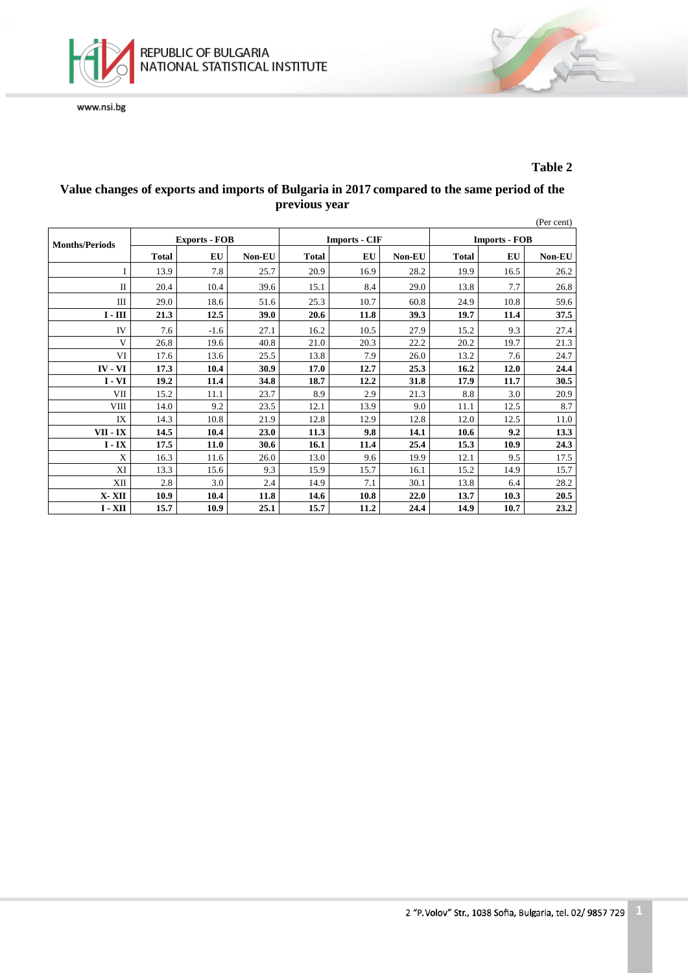

#### **Table 2**

#### **Value changes of exports and imports of Bulgaria in 2017 compared to the same period of the previous year**

|                       |              |                      |        |              |                      |        |              |                      | (Per cent) |  |  |
|-----------------------|--------------|----------------------|--------|--------------|----------------------|--------|--------------|----------------------|------------|--|--|
| <b>Months/Periods</b> |              | <b>Exports - FOB</b> |        |              | <b>Imports - CIF</b> |        |              | <b>Imports - FOB</b> |            |  |  |
|                       | <b>Total</b> | EU                   | Non-EU | <b>Total</b> | EU                   | Non-EU | <b>Total</b> | EU                   | Non-EU     |  |  |
|                       | 13.9         | 7.8                  | 25.7   | 20.9         | 16.9                 | 28.2   | 19.9         | 16.5                 | 26.2       |  |  |
| $\mathbf{I}$          | 20.4         | 10.4                 | 39.6   | 15.1         | 8.4                  | 29.0   | 13.8         | 7.7                  | 26.8       |  |  |
| Ш                     | 29.0         | 18.6                 | 51.6   | 25.3         | 10.7                 | 60.8   | 24.9         | 10.8                 | 59.6       |  |  |
| $I - III$             | 21.3         | 12.5                 | 39.0   | 20.6         | 11.8                 | 39.3   | 19.7         | 11.4                 | 37.5       |  |  |
| IV                    | 7.6          | $-1.6$               | 27.1   | 16.2         | 10.5                 | 27.9   | 15.2         | 9.3                  | 27.4       |  |  |
| V                     | 26.8         | 19.6                 | 40.8   | 21.0         | 20.3                 | 22.2   | 20.2         | 19.7                 | 21.3       |  |  |
| VI                    | 17.6         | 13.6                 | 25.5   | 13.8         | 7.9                  | 26.0   | 13.2         | 7.6                  | 24.7       |  |  |
| IV - VI               | 17.3         | 10.4                 | 30.9   | 17.0         | 12.7                 | 25.3   | 16.2         | 12.0                 | 24.4       |  |  |
| $I - VI$              | 19.2         | 11.4                 | 34.8   | 18.7         | 12.2                 | 31.8   | 17.9         | 11.7                 | 30.5       |  |  |
| VII                   | 15.2         | 11.1                 | 23.7   | 8.9          | 2.9                  | 21.3   | 8.8          | 3.0                  | 20.9       |  |  |
| <b>VIII</b>           | 14.0         | 9.2                  | 23.5   | 12.1         | 13.9                 | 9.0    | 11.1         | 12.5                 | 8.7        |  |  |
| IX                    | 14.3         | 10.8                 | 21.9   | 12.8         | 12.9                 | 12.8   | 12.0         | 12.5                 | 11.0       |  |  |
| VII - IX              | 14.5         | 10.4                 | 23.0   | 11.3         | 9.8                  | 14.1   | 10.6         | 9.2                  | 13.3       |  |  |
| $I - IX$              | 17.5         | 11.0                 | 30.6   | 16.1         | 11.4                 | 25.4   | 15.3         | 10.9                 | 24.3       |  |  |
| X                     | 16.3         | 11.6                 | 26.0   | 13.0         | 9.6                  | 19.9   | 12.1         | 9.5                  | 17.5       |  |  |
| XI                    | 13.3         | 15.6                 | 9.3    | 15.9         | 15.7                 | 16.1   | 15.2         | 14.9                 | 15.7       |  |  |
| XII                   | 2.8          | 3.0                  | 2.4    | 14.9         | 7.1                  | 30.1   | 13.8         | 6.4                  | 28.2       |  |  |
| X-XII                 | 10.9         | 10.4                 | 11.8   | 14.6         | 10.8                 | 22.0   | 13.7         | 10.3                 | 20.5       |  |  |
| $I - XII$             | 15.7         | 10.9                 | 25.1   | 15.7         | 11.2                 | 24.4   | 14.9         | 10.7                 | 23.2       |  |  |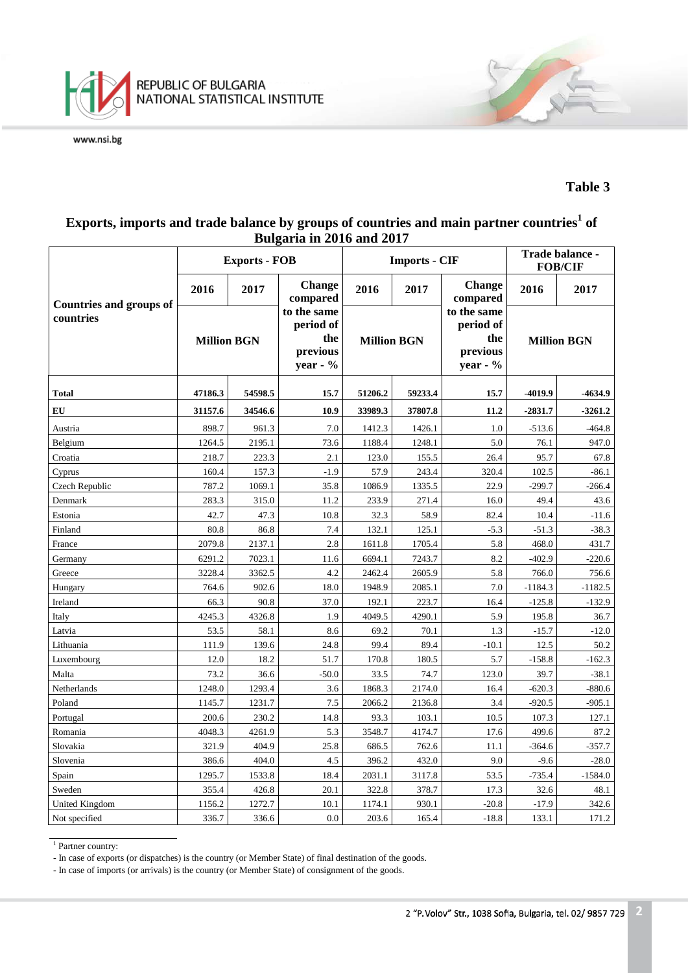

#### **Table 3**

## **Exports, imports and trade balance by groups of countries and main partner countries<sup>1</sup> of Bulgaria in 2016 and 2017**

|                                |                    | <b>Exports - FOB</b> |                                                         |                    | <b>Imports - CIF</b> | Trade balance -<br><b>FOB/CIF</b>                          |                    |           |
|--------------------------------|--------------------|----------------------|---------------------------------------------------------|--------------------|----------------------|------------------------------------------------------------|--------------------|-----------|
| <b>Countries and groups of</b> | 2016               | 2017                 | <b>Change</b><br>compared                               | 2016               | 2017                 | <b>Change</b><br>compared                                  | 2016               | 2017      |
| countries                      | <b>Million BGN</b> |                      | to the same<br>period of<br>the<br>previous<br>year - % | <b>Million BGN</b> |                      | to the same<br>period of<br>the<br>previous<br>year - $\%$ | <b>Million BGN</b> |           |
| Total                          | 47186.3            | 54598.5              | 15.7                                                    | 51206.2            | 59233.4              | 15.7                                                       | -4019.9            | $-4634.9$ |
| EU                             | 31157.6            | 34546.6              | 10.9                                                    | 33989.3            | 37807.8              | 11.2                                                       | $-2831.7$          | $-3261.2$ |
| Austria                        | 898.7              | 961.3                | 7.0                                                     | 1412.3             | 1426.1               | 1.0                                                        | $-513.6$           | $-464.8$  |
| Belgium                        | 1264.5             | 2195.1               | 73.6                                                    | 1188.4             | 1248.1               | 5.0                                                        | 76.1               | 947.0     |
| Croatia                        | 218.7              | 223.3                | 2.1                                                     | 123.0              | 155.5                | 26.4                                                       | 95.7               | 67.8      |
| Cyprus                         | 160.4              | 157.3                | $-1.9$                                                  | 57.9               | 243.4                | 320.4                                                      | 102.5              | $-86.1$   |
| Czech Republic                 | 787.2              | 1069.1               | 35.8                                                    | 1086.9             | 1335.5               | 22.9                                                       | $-299.7$           | $-266.4$  |
| Denmark                        | 283.3              | 315.0                | 11.2                                                    | 233.9              | 271.4                | 16.0                                                       | 49.4               | 43.6      |
| Estonia                        | 42.7               | 47.3                 | 10.8                                                    | 32.3               | 58.9                 | 82.4                                                       | 10.4               | $-11.6$   |
| Finland                        | 80.8               | 86.8                 | 7.4                                                     | 132.1              | 125.1                | $-5.3$                                                     | $-51.3$            | $-38.3$   |
| France                         | 2079.8             | 2137.1               | 2.8                                                     | 1611.8             | 1705.4               | 5.8                                                        | 468.0              | 431.7     |
| Germany                        | 6291.2             | 7023.1               | 11.6                                                    | 6694.1             | 7243.7               | 8.2                                                        | $-402.9$           | $-220.6$  |
| Greece                         | 3228.4             | 3362.5               | 4.2                                                     | 2462.4             | 2605.9               | 5.8                                                        | 766.0              | 756.6     |
| Hungary                        | 764.6              | 902.6                | 18.0                                                    | 1948.9             | 2085.1               | 7.0                                                        | $-1184.3$          | $-1182.5$ |
| Ireland                        | 66.3               | 90.8                 | 37.0                                                    | 192.1              | 223.7                | 16.4                                                       | $-125.8$           | $-132.9$  |
| Italy                          | 4245.3             | 4326.8               | 1.9                                                     | 4049.5             | 4290.1               | 5.9                                                        | 195.8              | 36.7      |
| Latvia                         | 53.5               | 58.1                 | 8.6                                                     | 69.2               | 70.1                 | 1.3                                                        | $-15.7$            | $-12.0$   |
| Lithuania                      | 111.9              | 139.6                | 24.8                                                    | 99.4               | 89.4                 | $-10.1$                                                    | 12.5               | 50.2      |
| Luxembourg                     | 12.0               | 18.2                 | 51.7                                                    | 170.8              | 180.5                | 5.7                                                        | $-158.8$           | $-162.3$  |
| Malta                          | 73.2               | 36.6                 | $-50.0$                                                 | 33.5               | 74.7                 | 123.0                                                      | 39.7               | $-38.1$   |
| Netherlands                    | 1248.0             | 1293.4               | 3.6                                                     | 1868.3             | 2174.0               | 16.4                                                       | $-620.3$           | $-880.6$  |
| Poland                         | 1145.7             | 1231.7               | 7.5                                                     | 2066.2             | 2136.8               | 3.4                                                        | $-920.5$           | $-905.1$  |
| Portugal                       | 200.6              | 230.2                | 14.8                                                    | 93.3               | 103.1                | 10.5                                                       | 107.3              | 127.1     |
| Romania                        | 4048.3             | 4261.9               | 5.3                                                     | 3548.7             | 4174.7               | 17.6                                                       | 499.6              | 87.2      |
| Slovakia                       | 321.9              | 404.9                | 25.8                                                    | 686.5              | 762.6                | 11.1                                                       | $-364.6$           | $-357.7$  |
| Slovenia                       | 386.6              | 404.0                | 4.5                                                     | 396.2              | 432.0                | 9.0                                                        | $-9.6$             | $-28.0$   |
| Spain                          | 1295.7             | 1533.8               | 18.4                                                    | 2031.1             | 3117.8               | 53.5                                                       | $-735.4$           | $-1584.0$ |
| Sweden                         | 355.4              | 426.8                | 20.1                                                    | 322.8              | 378.7                | 17.3                                                       | 32.6               | 48.1      |
| United Kingdom                 | 1156.2             | 1272.7               | 10.1                                                    | 1174.1             | 930.1                | $-20.8$                                                    | $-17.9$            | 342.6     |
| Not specified                  | 336.7              | 336.6                | 0.0                                                     | 203.6              | 165.4                | $-18.8$                                                    | 133.1              | 171.2     |

<sup>&</sup>lt;sup>1</sup> Partner country:

- In case of exports (or dispatches) is the country (or Member State) of final destination of the goods.

- In case of imports (or arrivals) is the country (or Member State) of consignment of the goods.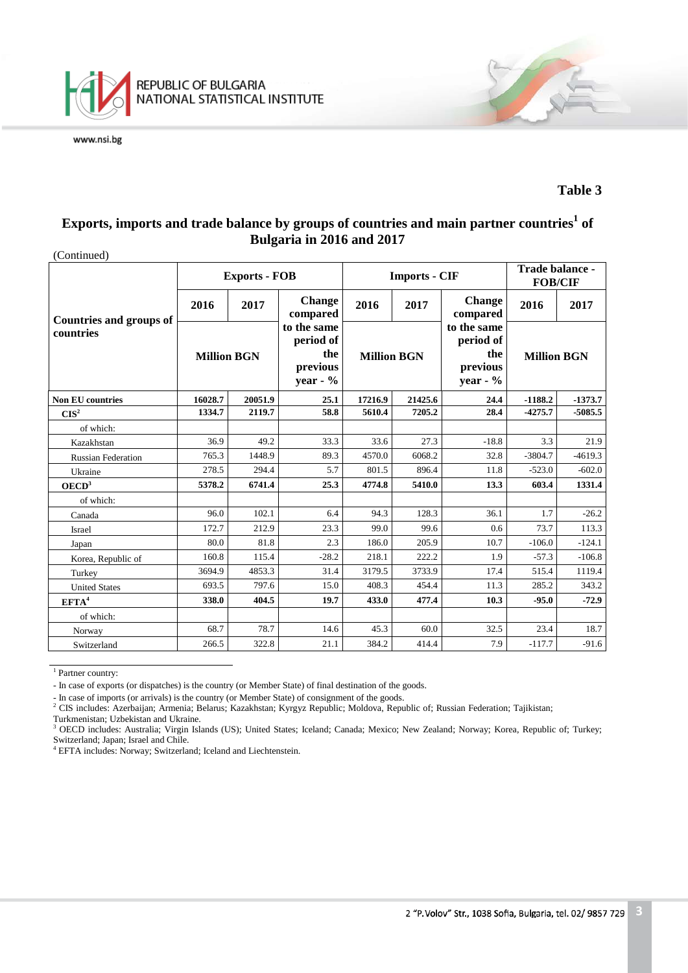

#### **Table 3**

# **Exports, imports and trade balance by groups of countries and main partner countries<sup>1</sup> of Bulgaria in 2016 and 2017**

| (Continued)                                 |                    |                      |                                                            |                    |                      |                                                           |                    |           |
|---------------------------------------------|--------------------|----------------------|------------------------------------------------------------|--------------------|----------------------|-----------------------------------------------------------|--------------------|-----------|
|                                             |                    | <b>Exports - FOB</b> |                                                            |                    | <b>Imports - CIF</b> | Trade balance -<br><b>FOB/CIF</b>                         |                    |           |
|                                             | 2016               | 2017                 | <b>Change</b><br>compared                                  | 2016<br>2017       |                      | <b>Change</b><br>compared                                 | 2016               | 2017      |
| <b>Countries and groups of</b><br>countries | <b>Million BGN</b> |                      | to the same<br>period of<br>the<br>previous<br>year - $\%$ | <b>Million BGN</b> |                      | to the same<br>period of<br>the<br>previous<br>year - $%$ | <b>Million BGN</b> |           |
| <b>Non EU countries</b>                     | 16028.7            | 20051.9              | 25.1                                                       | 17216.9            | 21425.6              | 24.4                                                      | $-1188.2$          | $-1373.7$ |
| $CIS^2$                                     | 1334.7             | 2119.7               | 58.8                                                       | 5610.4             | 7205.2               | 28.4                                                      | $-4275.7$          | -5085.5   |
| of which:                                   |                    |                      |                                                            |                    |                      |                                                           |                    |           |
| Kazakhstan                                  | 36.9               | 49.2                 | 33.3                                                       | 33.6               | 27.3                 | $-18.8$                                                   | 3.3                | 21.9      |
| <b>Russian Federation</b>                   | 765.3              | 1448.9               | 89.3                                                       | 4570.0             | 6068.2               | 32.8                                                      | $-3804.7$          | $-4619.3$ |
| Ukraine                                     | 278.5              | 294.4                | 5.7                                                        | 801.5              | 896.4                | 11.8                                                      | $-523.0$           | $-602.0$  |
| OECD <sup>3</sup>                           | 5378.2             | 6741.4               | 25.3                                                       | 4774.8             | 5410.0               | 13.3                                                      | 603.4              | 1331.4    |
| of which:                                   |                    |                      |                                                            |                    |                      |                                                           |                    |           |
| Canada                                      | 96.0               | 102.1                | 6.4                                                        | 94.3               | 128.3                | 36.1                                                      | 1.7                | $-26.2$   |
| Israel                                      | 172.7              | 212.9                | 23.3                                                       | 99.0               | 99.6                 | 0.6                                                       | 73.7               | 113.3     |
| Japan                                       | 80.0               | 81.8                 | 2.3                                                        | 186.0              | 205.9                | 10.7                                                      | $-106.0$           | $-124.1$  |
| Korea, Republic of                          | 160.8              | 115.4                | $-28.2$                                                    | 218.1              | 222.2                | 1.9                                                       | $-57.3$            | $-106.8$  |
| Turkey                                      | 3694.9             | 4853.3               | 31.4                                                       | 3179.5             | 3733.9               | 17.4                                                      | 515.4              | 1119.4    |
| <b>United States</b>                        | 693.5              | 797.6                | 15.0                                                       | 408.3              | 454.4                | 11.3                                                      | 285.2              | 343.2     |
| EFTA <sup>4</sup>                           | 338.0              | 404.5                | 19.7                                                       | 433.0              | 477.4                | 10.3                                                      | $-95.0$            | $-72.9$   |
| of which:                                   |                    |                      |                                                            |                    |                      |                                                           |                    |           |
| Norway                                      | 68.7               | 78.7                 | 14.6                                                       | 45.3               | 60.0                 | 32.5                                                      | 23.4               | 18.7      |
| Switzerland                                 | 266.5              | 322.8                | 21.1                                                       | 384.2              | 414.4                | 7.9                                                       | $-117.7$           | $-91.6$   |

 $\overline{1}$  Partner country:

- In case of imports (or arrivals) is the country (or Member State) of consignment of the goods.<br><sup>2</sup> CIS includes: Azerbaijan; Armenia; Belarus; Kazakhstan; Kyrgyz Republic; Moldova, Republic of; Russian Federation; Tajiki

Turkmenistan; Uzbekistan and Ukraine.

<sup>3</sup> OECD includes: Australia; Virgin Islands (US); United States; Iceland; Canada; Mexico; New Zealand; Norway; Korea, Republic of; Turkey; Switzerland; Japan; Israel and Chile.

<sup>4</sup> EFTA includes: Norway; Switzerland; Iceland and Liechtenstein.

<sup>-</sup> In case of exports (or dispatches) is the country (or Member State) of final destination of the goods.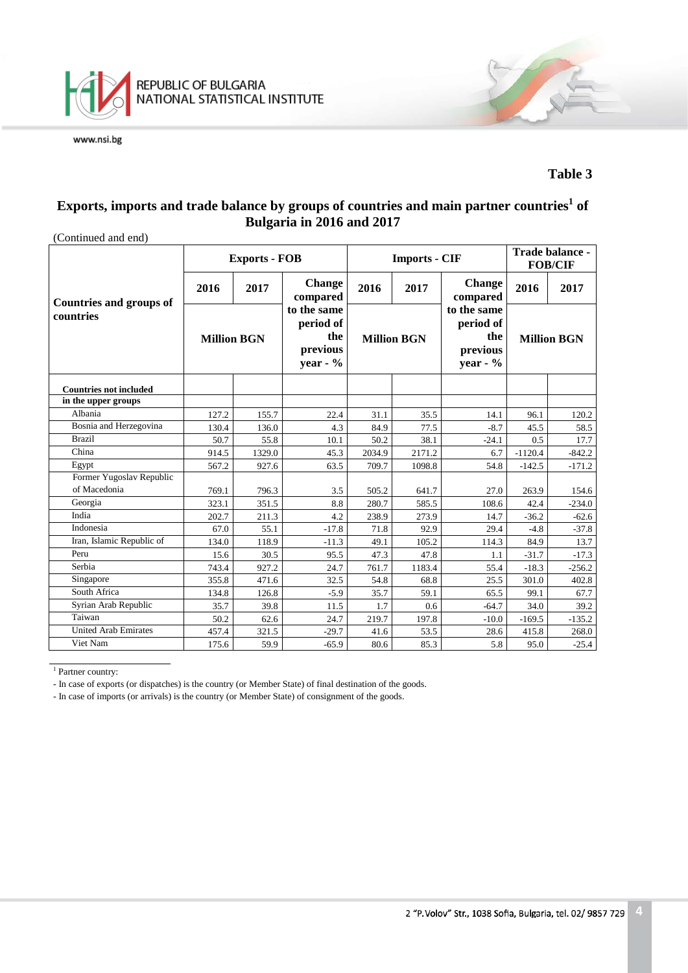

#### **Table 3**

# **Exports, imports and trade balance by groups of countries and main partner countries<sup>1</sup> of Bulgaria in 2016 and 2017**

| (Continued and end)                         |                                           | <b>Exports - FOB</b> |                                                            |        | <b>Imports - CIF</b>      | Trade balance -<br><b>FOB/CIF</b>                         |                    |          |
|---------------------------------------------|-------------------------------------------|----------------------|------------------------------------------------------------|--------|---------------------------|-----------------------------------------------------------|--------------------|----------|
|                                             | <b>Change</b><br>2016<br>2017<br>compared |                      | 2016                                                       | 2017   | <b>Change</b><br>compared | 2016                                                      | 2017               |          |
| <b>Countries and groups of</b><br>countries | <b>Million BGN</b>                        |                      | to the same<br>period of<br>the<br>previous<br>year - $\%$ |        | <b>Million BGN</b>        | to the same<br>period of<br>the<br>previous<br>year - $%$ | <b>Million BGN</b> |          |
| <b>Countries not included</b>               |                                           |                      |                                                            |        |                           |                                                           |                    |          |
| in the upper groups                         |                                           |                      |                                                            |        |                           |                                                           |                    |          |
| Albania                                     | 127.2                                     | 155.7                | 22.4                                                       | 31.1   | 35.5                      | 14.1                                                      | 96.1               | 120.2    |
| Bosnia and Herzegovina                      | 130.4                                     | 136.0                | 4.3                                                        | 84.9   | 77.5                      | $-8.7$                                                    | 45.5               | 58.5     |
| <b>Brazil</b>                               | 50.7                                      | 55.8                 | 10.1                                                       | 50.2   | 38.1                      | $-24.1$                                                   | 0.5                | 17.7     |
| China                                       | 914.5                                     | 1329.0               | 45.3                                                       | 2034.9 | 2171.2                    | 6.7                                                       | $-1120.4$          | $-842.2$ |
| Egypt                                       | 567.2                                     | 927.6                | 63.5                                                       | 709.7  | 1098.8                    | 54.8                                                      | $-142.5$           | $-171.2$ |
| Former Yugoslav Republic                    |                                           |                      |                                                            |        |                           |                                                           |                    |          |
| of Macedonia                                | 769.1                                     | 796.3                | 3.5                                                        | 505.2  | 641.7                     | 27.0                                                      | 263.9              | 154.6    |
| Georgia                                     | 323.1                                     | 351.5                | 8.8                                                        | 280.7  | 585.5                     | 108.6                                                     | 42.4               | $-234.0$ |
| India                                       | 202.7                                     | 211.3                | 4.2                                                        | 238.9  | 273.9                     | 14.7                                                      | $-36.2$            | $-62.6$  |
| Indonesia                                   | 67.0                                      | 55.1                 | $-17.8$                                                    | 71.8   | 92.9                      | 29.4                                                      | $-4.8$             | $-37.8$  |
| Iran, Islamic Republic of                   | 134.0                                     | 118.9                | $-11.3$                                                    | 49.1   | 105.2                     | 114.3                                                     | 84.9               | 13.7     |
| Peru                                        | 15.6                                      | 30.5                 | 95.5                                                       | 47.3   | 47.8                      | 1.1                                                       | $-31.7$            | $-17.3$  |
| Serbia                                      | 743.4                                     | 927.2                | 24.7                                                       | 761.7  | 1183.4                    | 55.4                                                      | $-18.3$            | $-256.2$ |
| Singapore                                   | 355.8                                     | 471.6                | 32.5                                                       | 54.8   | 68.8                      | 25.5                                                      | 301.0              | 402.8    |
| South Africa                                | 134.8                                     | 126.8                | $-5.9$                                                     | 35.7   | 59.1                      | 65.5                                                      | 99.1               | 67.7     |
| Syrian Arab Republic                        | 35.7                                      | 39.8                 | 11.5                                                       | 1.7    | 0.6                       | $-64.7$                                                   | 34.0               | 39.2     |
| Taiwan                                      | 50.2                                      | 62.6                 | 24.7                                                       | 219.7  | 197.8                     | $-10.0$                                                   | $-169.5$           | $-135.2$ |
| <b>United Arab Emirates</b>                 | 457.4                                     | 321.5                | $-29.7$                                                    | 41.6   | 53.5                      | 28.6                                                      | 415.8              | 268.0    |
| Viet Nam                                    | 175.6                                     | 59.9                 | $-65.9$                                                    | 80.6   | 85.3                      | 5.8                                                       | 95.0               | $-25.4$  |

<sup>1</sup> Partner country:

- In case of exports (or dispatches) is the country (or Member State) of final destination of the goods.

- In case of imports (or arrivals) is the country (or Member State) of consignment of the goods.